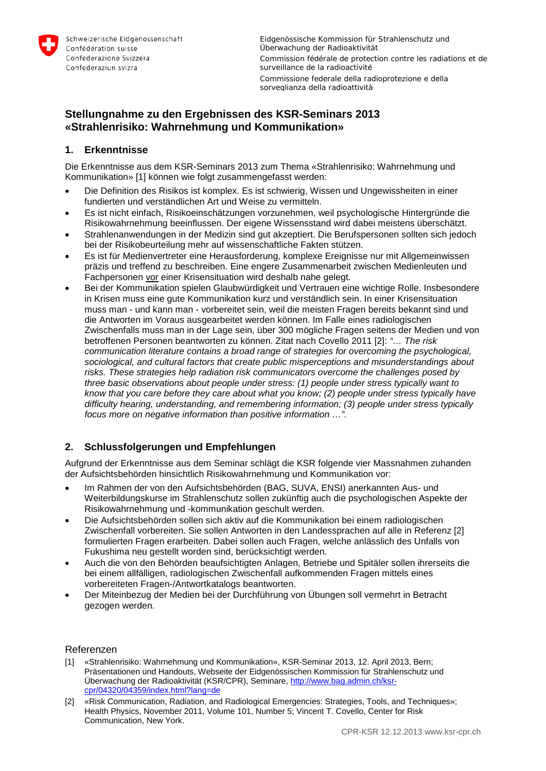

Eidgenössische Kommission für Strahlenschutz und Überwachung der Radioaktivität Commission fédérale de protection contre les radiations et de surveillance de la radioactivité Commissione federale della radioprotezione e della sorveglianza della radioattività

# **Stellungnahme zu den Ergebnissen des KSR-Seminars 2013 «Strahlenrisiko: Wahrnehmung und Kommunikation»**

## **1. Erkenntnisse**

Die Erkenntnisse aus dem KSR-Seminars 2013 zum Thema «Strahlenrisiko: Wahrnehmung und Kommunikation» [1] können wie folgt zusammengefasst werden:

- Die Definition des Risikos ist komplex. Es ist schwierig, Wissen und Ungewissheiten in einer fundierten und verständlichen Art und Weise zu vermitteln.
- Es ist nicht einfach, Risikoeinschätzungen vorzunehmen, weil psychologische Hintergründe die Risikowahrnehmung beeinflussen. Der eigene Wissensstand wird dabei meistens überschätzt.
- Strahlenanwendungen in der Medizin sind gut akzeptiert. Die Berufspersonen sollten sich jedoch bei der Risikobeurteilung mehr auf wissenschaftliche Fakten stützen.
- Es ist für Medienvertreter eine Herausforderung, komplexe Ereignisse nur mit Allgemeinwissen präzis und treffend zu beschreiben. Eine engere Zusammenarbeit zwischen Medienleuten und Fachpersonen vor einer Krisensituation wird deshalb nahe gelegt.
- Bei der Kommunikation spielen Glaubwürdigkeit und Vertrauen eine wichtige Rolle. Insbesondere in Krisen muss eine gute Kommunikation kurz und verständlich sein. In einer Krisensituation muss man - und kann man - vorbereitet sein, weil die meisten Fragen bereits bekannt sind und die Antworten im Voraus ausgearbeitet werden können. Im Falle eines radiologischen Zwischenfalls muss man in der Lage sein, über 300 mögliche Fragen seitens der Medien und von betroffenen Personen beantworten zu können. Zitat nach Covello 2011 [2]: *"… The risk communication literature contains a broad range of strategies for overcoming the psychological, sociological, and cultural factors that create public misperceptions and misunderstandings about risks. These strategies help radiation risk communicators overcome the challenges posed by three basic observations about people under stress: (1) people under stress typically want to know that you care before they care about what you know; (2) people under stress typically have difficulty hearing, understanding, and remembering information; (3) people under stress typically focus more on negative information than positive information …".*

## **2. Schlussfolgerungen und Empfehlungen**

Aufgrund der Erkenntnisse aus dem Seminar schlägt die KSR folgende vier Massnahmen zuhanden der Aufsichtsbehörden hinsichtlich Risikowahrnehmung und Kommunikation vor:

- Im Rahmen der von den Aufsichtsbehörden (BAG, SUVA, ENSI) anerkannten Aus- und Weiterbildungskurse im Strahlenschutz sollen zukünftig auch die psychologischen Aspekte der Risikowahrnehmung und -kommunikation geschult werden.
- Die Aufsichtsbehörden sollen sich aktiv auf die Kommunikation bei einem radiologischen Zwischenfall vorbereiten. Sie sollen Antworten in den Landessprachen auf alle in Referenz [2] formulierten Fragen erarbeiten. Dabei sollen auch Fragen, welche anlässlich des Unfalls von Fukushima neu gestellt worden sind, berücksichtigt werden.
- Auch die von den Behörden beaufsichtigten Anlagen, Betriebe und Spitäler sollen ihrerseits die bei einem allfälligen, radiologischen Zwischenfall aufkommenden Fragen mittels eines vorbereiteten Fragen-/Antwortkatalogs beantworten.
- Der Miteinbezug der Medien bei der Durchführung von Übungen soll vermehrt in Betracht gezogen werden.

### Referenzen

- [1] «Strahlenrisiko: Wahrnehmung und Kommunikation», KSR-Seminar 2013, 12. April 2013, Bern; Präsentationen und Handouts, Webseite der Eidgenössischen Kommission für Strahlenschutz und Überwachung der Radioaktivität (KSR/CPR), Seminare[, http://www.bag.admin.ch/ksr](http://www.bag.admin.ch/ksr-cpr/04320/04359/index.html?lang=de)[cpr/04320/04359/index.html?lang=de](http://www.bag.admin.ch/ksr-cpr/04320/04359/index.html?lang=de)
- [2] «Risk Communication, Radiation, and Radiological Emergencies: Strategies, Tools, and Techniques»; Health Physics, November 2011, Volume 101, Number 5; Vincent T. Covello, Center for Risk Communication, New York.